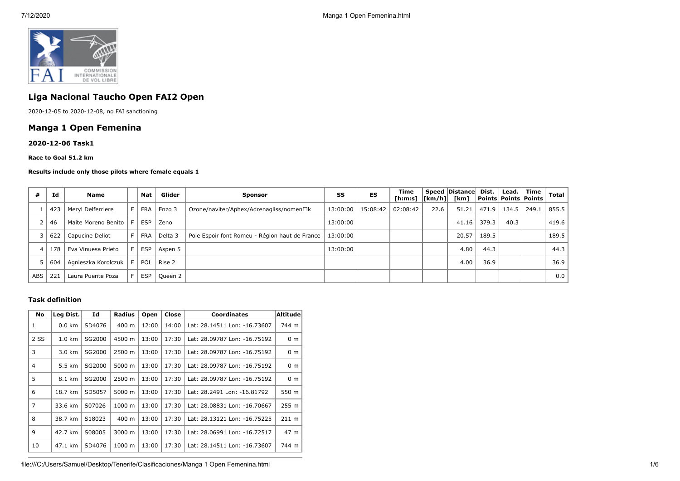

# **Liga Nacional Taucho Open FAI2 Open**

2020-12-05 to 2020-12-08, no FAI sanctioning

# **Manga 1 Open Femenina**

### **2020-12-06 Task1**

#### **Race to Goal 51.2 km**

#### **Results include only those pilots where female equals 1**

|            | Id  | Name                |                | Nat        | Glider  | <b>Sponsor</b>                                 | SS       | ES                  | Time<br>[h:m:s] $ [km/h] $ [km] |      | Speed Distance | Dist. | Lead.<br>  Points   Points   Points | Time  | Total |
|------------|-----|---------------------|----------------|------------|---------|------------------------------------------------|----------|---------------------|---------------------------------|------|----------------|-------|-------------------------------------|-------|-------|
|            | 423 | Meryl Delferriere   | F <sub>1</sub> | <b>FRA</b> | Enzo 3  | Ozone/naviter/Aphex/Adrenagliss/nomen□k        |          | 13:00:00   15:08:42 | 02:08:42                        | 22.6 | 51.21          | 471.9 | 134.5                               | 249.1 | 855.5 |
|            | 46  | Maite Moreno Benito | F.             | <b>ESP</b> | Zeno    |                                                | 13:00:00 |                     |                                 |      | 41.16          | 379.3 | 40.3                                |       | 419.6 |
|            | 622 | Capucine Deliot     | F.             | <b>FRA</b> | Delta 3 | Pole Espoir font Romeu - Région haut de France | 13:00:00 |                     |                                 |      | 20.57          | 189.5 |                                     |       | 189.5 |
|            | 178 | Eva Vinuesa Prieto  | $F_{\perp}$    | <b>ESP</b> | Aspen 5 |                                                | 13:00:00 |                     |                                 |      | 4.80           | 44.3  |                                     |       | 44.3  |
|            | 604 | Agnieszka Korolczuk | -E I           | <b>POL</b> | Rise 2  |                                                |          |                     |                                 |      | 4.00           | 36.9  |                                     |       | 36.9  |
| <b>ABS</b> | 221 | Laura Puente Poza   | F.             | <b>ESP</b> | Queen 2 |                                                |          |                     |                                 |      |                |       |                                     |       | 0.0   |

## **Task definition**

| No             | Leg Dist.        | Id     | Radius | Open  | Close | <b>Coordinates</b>           | Altitude        |
|----------------|------------------|--------|--------|-------|-------|------------------------------|-----------------|
| 1              | $0.0 \text{ km}$ | SD4076 | 400 m  | 12:00 | 14:00 | Lat: 28.14511 Lon: -16.73607 | 744 m           |
| 2 SS           | $1.0 \text{ km}$ | SG2000 | 4500 m | 13:00 | 17:30 | Lat: 28.09787 Lon: -16.75192 | 0 <sub>m</sub>  |
| 3              | 3.0 km           | SG2000 | 2500 m | 13:00 | 17:30 | Lat: 28.09787 Lon: -16.75192 | 0 <sub>m</sub>  |
| 4              | 5.5 km           | SG2000 | 5000 m | 13:00 | 17:30 | Lat: 28.09787 Lon: -16.75192 | 0 <sub>m</sub>  |
| 5              | 8.1 km           | SG2000 | 2500 m | 13:00 | 17:30 | Lat: 28.09787 Lon: -16.75192 | 0 <sub>m</sub>  |
| 6              | 18.7 km          | SD5057 | 5000 m | 13:00 | 17:30 | Lat: 28.2491 Lon: -16.81792  | 550 m           |
| $\overline{7}$ | 33.6 km          | S07026 | 1000 m | 13:00 | 17:30 | Lat: 28.08831 Lon: -16.70667 | 255 m           |
| 8              | 38.7 km          | S18023 | 400 m  | 13:00 | 17:30 | Lat: 28.13121 Lon: -16.75225 | $211 \text{ m}$ |
| 9              | 42.7 km          | S08005 | 3000 m | 13:00 | 17:30 | Lat: 28.06991 Lon: -16.72517 | 47 m            |
| 10             | 47.1 km          | SD4076 | 1000 m | 13:00 | 17:30 | Lat: 28.14511 Lon: -16.73607 | 744 m           |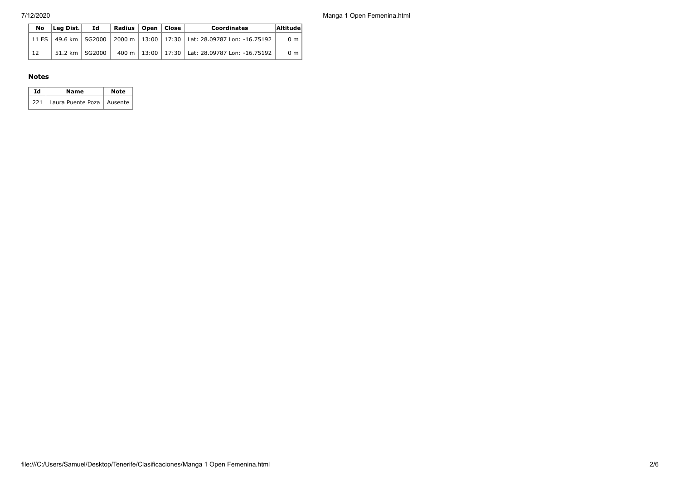7/12/2020 Manga 1 Open Femenina.html

| No | Leg Dist.        | Ιd | Radius   Open   Close |  | <b>Coordinates</b>                                                               | Altitude       |
|----|------------------|----|-----------------------|--|----------------------------------------------------------------------------------|----------------|
|    |                  |    |                       |  | 11 ES   49.6 km   SG2000   2000 m   13:00   17:30   Lat: 28.09787 Lon: -16.75192 | 0 <sub>m</sub> |
| 12 | 51.2 km   SG2000 |    |                       |  | 400 m   13:00   17:30   Lat: 28.09787 Lon: -16.75192                             | 0 <sub>m</sub> |

## **Notes**

| Td | Name                              | <b>Note</b> |
|----|-----------------------------------|-------------|
|    | 221   Laura Puente Poza   Ausente |             |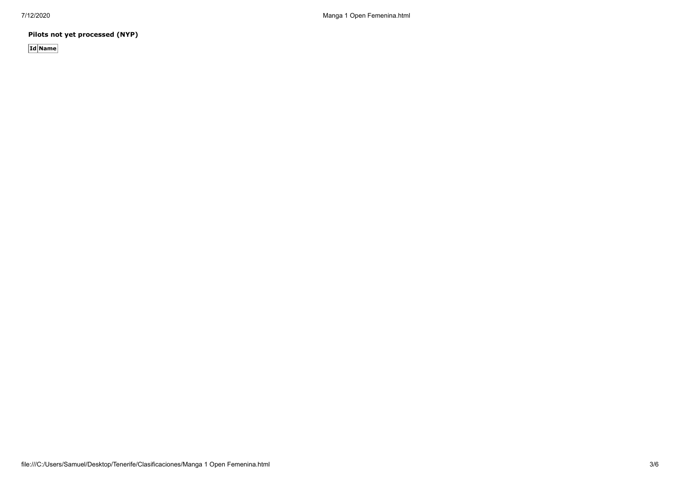**Pilots not yet processed (NYP)**

**Id Name**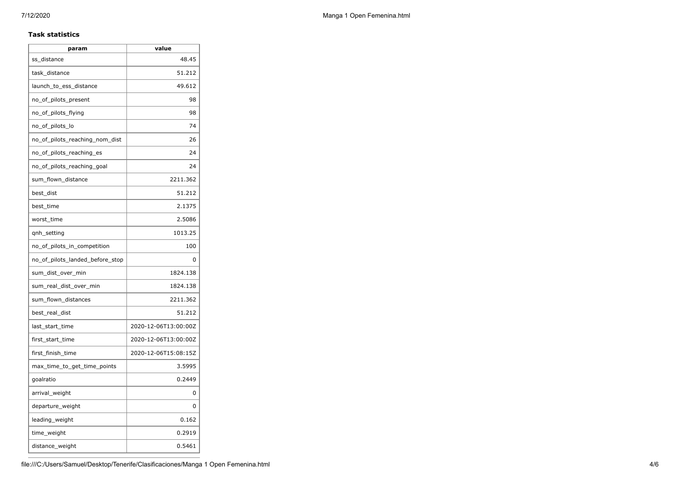## **Task statistics**

| param                           | value                |
|---------------------------------|----------------------|
| ss distance                     | 48.45                |
| task_distance                   | 51.212               |
| launch to ess distance          | 49.612               |
| no_of_pilots_present            | 98                   |
| no_of_pilots_flying             | 98                   |
| no_of_pilots_lo                 | 74                   |
| no_of_pilots_reaching_nom_dist  | 26                   |
| no_of_pilots_reaching_es        | 24                   |
| no_of_pilots_reaching_goal      | 24                   |
| sum_flown_distance              | 2211.362             |
| best_dist                       | 51.212               |
| best time                       | 2.1375               |
| worst_time                      | 2.5086               |
| gnh_setting                     | 1013.25              |
| no_of_pilots_in_competition     | 100                  |
| no of pilots landed before stop | 0                    |
| sum_dist_over_min               | 1824.138             |
| sum_real_dist_over_min          | 1824.138             |
| sum_flown_distances             | 2211.362             |
| best_real_dist                  | 51.212               |
| last_start_time                 | 2020-12-06T13:00:00Z |
| first_start_time                | 2020-12-06T13:00:00Z |
| first_finish_time               | 2020-12-06T15:08:15Z |
| max_time_to_get_time_points     | 3.5995               |
| goalratio                       | 0.2449               |
| arrival_weight                  | 0                    |
| departure_weight                | 0                    |
| leading_weight                  | 0.162                |
| time_weight                     | 0.2919               |
| distance_weight                 | 0.5461               |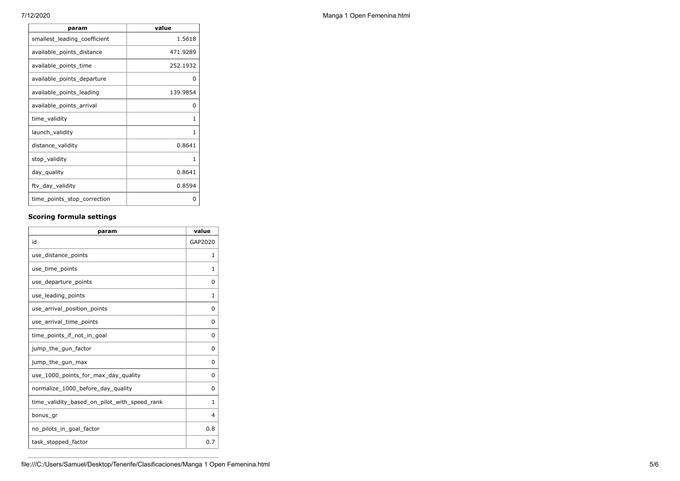| param                        | value    |
|------------------------------|----------|
| smallest_leading_coefficient | 1.5618   |
| available_points_distance    | 471.9289 |
| available_points_time        | 252.1932 |
| available_points_departure   | 0        |
| available_points_leading     | 139.9854 |
| available_points_arrival     | 0        |
| time_validity                | 1        |
| launch_validity              | 1        |
| distance_validity            | 0.8641   |
| stop_validity                | 1        |
| day_quality                  | 0.8641   |
| ftv_day_validity             | 0.8594   |
| time_points_stop_correction  | 0        |
|                              |          |

# **Scoring formula settings**

| param                                        | value    |
|----------------------------------------------|----------|
| id                                           | GAP2020  |
| use_distance_points                          | 1        |
| use_time_points                              | 1        |
| use_departure_points                         | 0        |
| use_leading_points                           | 1        |
| use_arrival_position_points                  | 0        |
| use_arrival_time_points                      | 0        |
| time points if not in goal                   | $\Omega$ |
| jump_the_gun_factor                          | 0        |
| jump_the_gun_max                             | 0        |
| use 1000 points for max day quality          | 0        |
| normalize_1000_before_day_quality            | 0        |
| time_validity_based_on_pilot_with_speed_rank | 1        |
| bonus_gr                                     | 4        |
| no_pilots_in_goal_factor                     | 0.8      |
| task_stopped_factor                          | 0.7      |